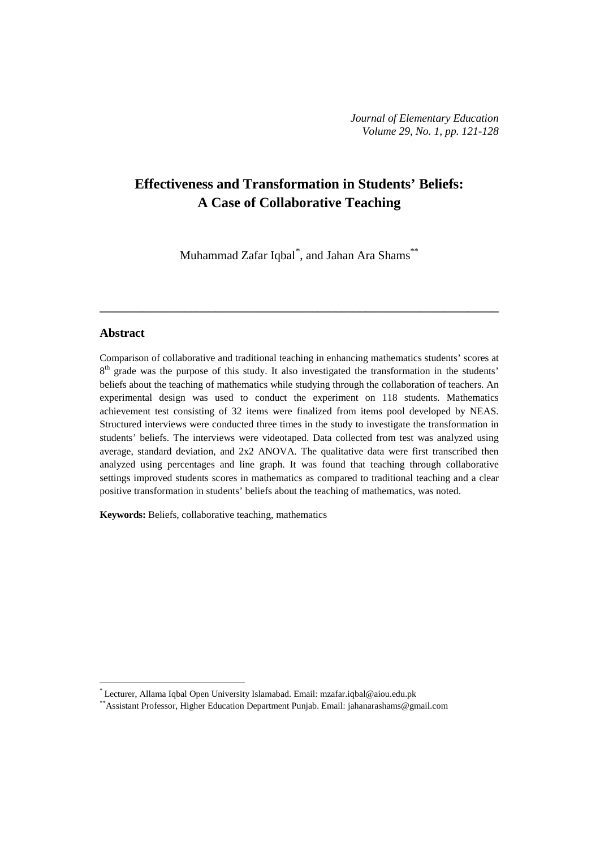# **Effectiveness and Transformation in Students' Beliefs: A Case of Collaborative Teaching**

Muhammad Zafar Iqbal[\\*](#page-0-0) , and Jahan Ara Shams\*\*

**\_\_\_\_\_\_\_\_\_\_\_\_\_\_\_\_\_\_\_\_\_\_\_\_\_\_\_\_\_\_\_\_\_\_\_\_\_\_\_\_\_\_\_\_\_\_\_\_\_\_\_\_\_\_\_\_\_\_\_\_\_\_\_\_\_\_**

## **Abstract**

 $\overline{a}$ 

Comparison of collaborative and traditional teaching in enhancing mathematics students' scores at 8<sup>th</sup> grade was the purpose of this study. It also investigated the transformation in the students' beliefs about the teaching of mathematics while studying through the collaboration of teachers. An experimental design was used to conduct the experiment on 118 students. Mathematics achievement test consisting of 32 items were finalized from items pool developed by NEAS. Structured interviews were conducted three times in the study to investigate the transformation in students' beliefs. The interviews were videotaped. Data collected from test was analyzed using average, standard deviation, and 2x2 ANOVA. The qualitative data were first transcribed then analyzed using percentages and line graph. It was found that teaching through collaborative settings improved students scores in mathematics as compared to traditional teaching and a clear positive transformation in students' beliefs about the teaching of mathematics, was noted.

**Keywords:** Beliefs, collaborative teaching, mathematics

<sup>\*</sup> Lecturer, Allama Iqbal Open University Islamabad. Email[: mzafar.iqbal@aiou.edu.pk](mailto:mzafar.iqbal@aiou.edu.pk)

<span id="page-0-0"></span><sup>\*\*</sup>Assistant Professor, Higher Education Department Punjab. Email: [jahanarashams@gmail.com](mailto:jahanarashams@gmail.com)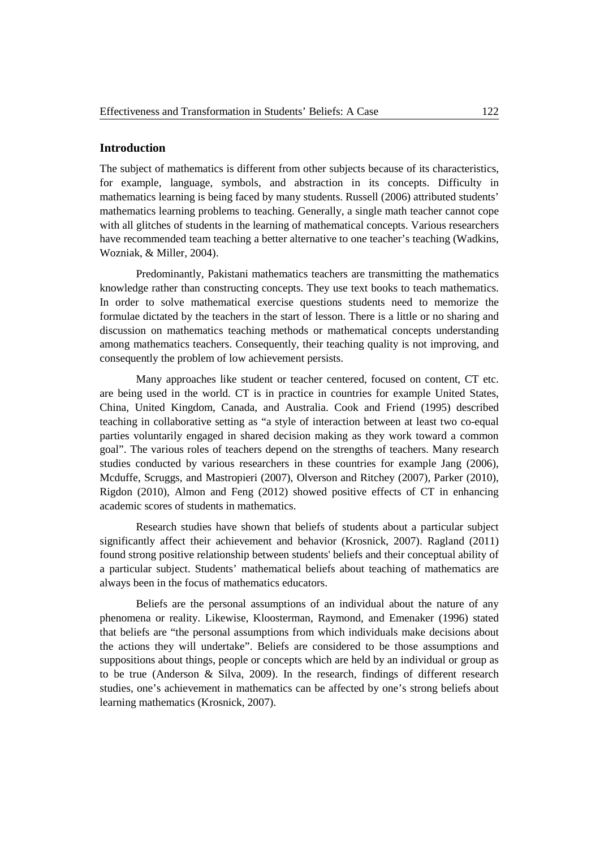# **Introduction**

The subject of mathematics is different from other subjects because of its characteristics, for example, language, symbols, and abstraction in its concepts. Difficulty in mathematics learning is being faced by many students. Russell (2006) attributed students' mathematics learning problems to teaching. Generally, a single math teacher cannot cope with all glitches of students in the learning of mathematical concepts. Various researchers have recommended team teaching a better alternative to one teacher's teaching (Wadkins, Wozniak, & Miller, 2004).

Predominantly, Pakistani mathematics teachers are transmitting the mathematics knowledge rather than constructing concepts. They use text books to teach mathematics. In order to solve mathematical exercise questions students need to memorize the formulae dictated by the teachers in the start of lesson. There is a little or no sharing and discussion on mathematics teaching methods or mathematical concepts understanding among mathematics teachers. Consequently, their teaching quality is not improving, and consequently the problem of low achievement persists.

Many approaches like student or teacher centered, focused on content, CT etc. are being used in the world. CT is in practice in countries for example United States, China, United Kingdom, Canada, and Australia. Cook and Friend (1995) described teaching in collaborative setting as "a style of interaction between at least two co-equal parties voluntarily engaged in shared decision making as they work toward a common goal". The various roles of teachers depend on the strengths of teachers. Many research studies conducted by various researchers in these countries for example Jang (2006), Mcduffe, Scruggs, and Mastropieri (2007), Olverson and Ritchey (2007), Parker (2010), Rigdon (2010), Almon and Feng (2012) showed positive effects of CT in enhancing academic scores of students in mathematics.

Research studies have shown that beliefs of students about a particular subject significantly affect their achievement and behavior (Krosnick, 2007). Ragland (2011) found strong positive relationship between students' beliefs and their conceptual ability of a particular subject. Students' mathematical beliefs about teaching of mathematics are always been in the focus of mathematics educators.

Beliefs are the personal assumptions of an individual about the nature of any phenomena or reality. Likewise, Kloosterman, Raymond, and Emenaker (1996) stated that beliefs are "the personal assumptions from which individuals make decisions about the actions they will undertake". Beliefs are considered to be those assumptions and suppositions about things, people or concepts which are held by an individual or group as to be true (Anderson & Silva, 2009). In the research, findings of different research studies, one's achievement in mathematics can be affected by one's strong beliefs about learning mathematics (Krosnick, 2007).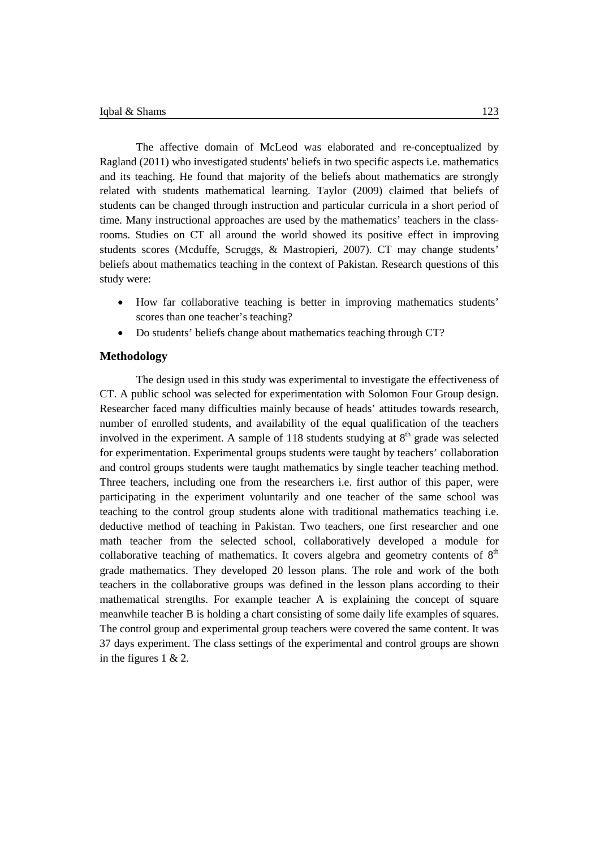The affective domain of McLeod was elaborated and re-conceptualized by Ragland (2011) who investigated students' beliefs in two specific aspects i.e. mathematics and its teaching. He found that majority of the beliefs about mathematics are strongly related with students mathematical learning. Taylor (2009) claimed that beliefs of students can be changed through instruction and particular curricula in a short period of time. Many instructional approaches are used by the mathematics' teachers in the classrooms. Studies on CT all around the world showed its positive effect in improving students scores (Mcduffe, Scruggs, & Mastropieri, 2007). CT may change students' beliefs about mathematics teaching in the context of Pakistan. Research questions of this study were:

- How far collaborative teaching is better in improving mathematics students' scores than one teacher's teaching?
- Do students' beliefs change about mathematics teaching through CT?

## **Methodology**

The design used in this study was experimental to investigate the effectiveness of CT. A public school was selected for experimentation with Solomon Four Group design. Researcher faced many difficulties mainly because of heads' attitudes towards research, number of enrolled students, and availability of the equal qualification of the teachers involved in the experiment. A sample of 118 students studying at  $8<sup>th</sup>$  grade was selected for experimentation. Experimental groups students were taught by teachers' collaboration and control groups students were taught mathematics by single teacher teaching method. Three teachers, including one from the researchers i.e. first author of this paper, were participating in the experiment voluntarily and one teacher of the same school was teaching to the control group students alone with traditional mathematics teaching i.e. deductive method of teaching in Pakistan. Two teachers, one first researcher and one math teacher from the selected school, collaboratively developed a module for collaborative teaching of mathematics. It covers algebra and geometry contents of  $8<sup>th</sup>$ grade mathematics. They developed 20 lesson plans. The role and work of the both teachers in the collaborative groups was defined in the lesson plans according to their mathematical strengths. For example teacher A is explaining the concept of square meanwhile teacher B is holding a chart consisting of some daily life examples of squares. The control group and experimental group teachers were covered the same content. It was 37 days experiment. The class settings of the experimental and control groups are shown in the figures 1 & 2.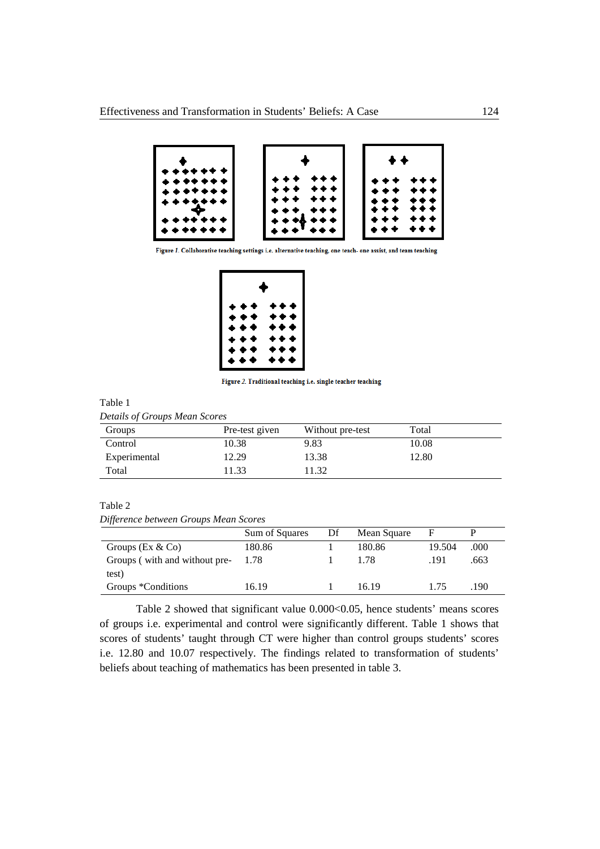

Figure 1. Collaborative teaching settings i.e. alternative teaching, one teach- one assist, and team teaching

| ✦     |     |  |  |  |
|-------|-----|--|--|--|
| ***   | *** |  |  |  |
| * * * | *** |  |  |  |
| ***   | *** |  |  |  |
| ***   | *** |  |  |  |
| ***   | *** |  |  |  |
| * * * | *** |  |  |  |

Figure 2. Traditional teaching i.e. single teacher teaching

# Table 1 *Details of Groups Mean Scores*

| Groups       | Pre-test given | Without pre-test | Total |
|--------------|----------------|------------------|-------|
| Control      | 10.38          | 9.83             | 10.08 |
| Experimental | 12.29          | 13.38            | 12.80 |
| Total        | 11.33          | 1.32             |       |

# Table 2

*Difference between Groups Mean Scores*

|                               | Sum of Squares | Df | Mean Square | F      |      |
|-------------------------------|----------------|----|-------------|--------|------|
| Groups ( $Ex & Co$ )          | 180.86         |    | 180.86      | 19.504 | .000 |
| Groups (with and without pre- | 1.78           |    | 1.78        | .191   | .663 |
| test)                         |                |    |             |        |      |
| Groups *Conditions            | 16.19          |    | 16.19       | 175    | .190 |

Table 2 showed that significant value 0.000<0.05, hence students' means scores of groups i.e. experimental and control were significantly different. Table 1 shows that scores of students' taught through CT were higher than control groups students' scores i.e. 12.80 and 10.07 respectively. The findings related to transformation of students' beliefs about teaching of mathematics has been presented in table 3.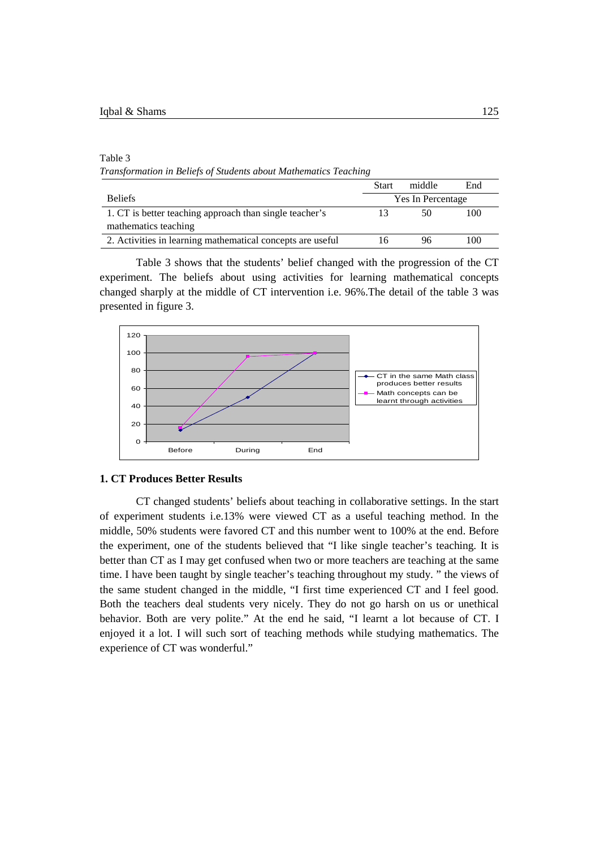#### Table 3

*Transformation in Beliefs of Students about Mathematics Teaching*

|                                                            | <b>Start</b>      | middle | End |  |
|------------------------------------------------------------|-------------------|--------|-----|--|
| <b>Beliefs</b>                                             | Yes In Percentage |        |     |  |
| 1. CT is better teaching approach than single teacher's    |                   | 50     | 100 |  |
| mathematics teaching                                       |                   |        |     |  |
| 2. Activities in learning mathematical concepts are useful | 16                | 96     | 100 |  |

Table 3 shows that the students' belief changed with the progression of the CT experiment. The beliefs about using activities for learning mathematical concepts changed sharply at the middle of CT intervention i.e. 96%.The detail of the table 3 was presented in figure 3.



### **1. CT Produces Better Results**

CT changed students' beliefs about teaching in collaborative settings. In the start of experiment students i.e.13% were viewed CT as a useful teaching method. In the middle, 50% students were favored CT and this number went to 100% at the end. Before the experiment, one of the students believed that "I like single teacher's teaching. It is better than CT as I may get confused when two or more teachers are teaching at the same time. I have been taught by single teacher's teaching throughout my study. " the views of the same student changed in the middle, "I first time experienced CT and I feel good. Both the teachers deal students very nicely. They do not go harsh on us or unethical behavior. Both are very polite." At the end he said, "I learnt a lot because of CT. I enjoyed it a lot. I will such sort of teaching methods while studying mathematics. The experience of CT was wonderful."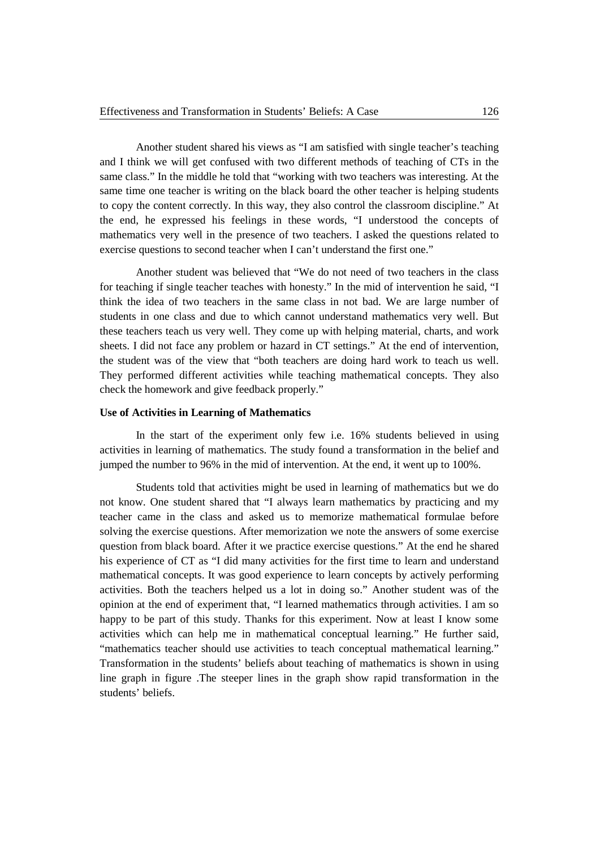Another student shared his views as "I am satisfied with single teacher's teaching and I think we will get confused with two different methods of teaching of CTs in the same class." In the middle he told that "working with two teachers was interesting. At the same time one teacher is writing on the black board the other teacher is helping students to copy the content correctly. In this way, they also control the classroom discipline." At the end, he expressed his feelings in these words, "I understood the concepts of mathematics very well in the presence of two teachers. I asked the questions related to exercise questions to second teacher when I can't understand the first one."

Another student was believed that "We do not need of two teachers in the class for teaching if single teacher teaches with honesty." In the mid of intervention he said, "I think the idea of two teachers in the same class in not bad. We are large number of students in one class and due to which cannot understand mathematics very well. But these teachers teach us very well. They come up with helping material, charts, and work sheets. I did not face any problem or hazard in CT settings." At the end of intervention, the student was of the view that "both teachers are doing hard work to teach us well. They performed different activities while teaching mathematical concepts. They also check the homework and give feedback properly."

## **Use of Activities in Learning of Mathematics**

In the start of the experiment only few i.e. 16% students believed in using activities in learning of mathematics. The study found a transformation in the belief and jumped the number to 96% in the mid of intervention. At the end, it went up to 100%.

Students told that activities might be used in learning of mathematics but we do not know. One student shared that "I always learn mathematics by practicing and my teacher came in the class and asked us to memorize mathematical formulae before solving the exercise questions. After memorization we note the answers of some exercise question from black board. After it we practice exercise questions." At the end he shared his experience of CT as "I did many activities for the first time to learn and understand mathematical concepts. It was good experience to learn concepts by actively performing activities. Both the teachers helped us a lot in doing so." Another student was of the opinion at the end of experiment that, "I learned mathematics through activities. I am so happy to be part of this study. Thanks for this experiment. Now at least I know some activities which can help me in mathematical conceptual learning." He further said, "mathematics teacher should use activities to teach conceptual mathematical learning." Transformation in the students' beliefs about teaching of mathematics is shown in using line graph in figure .The steeper lines in the graph show rapid transformation in the students' beliefs.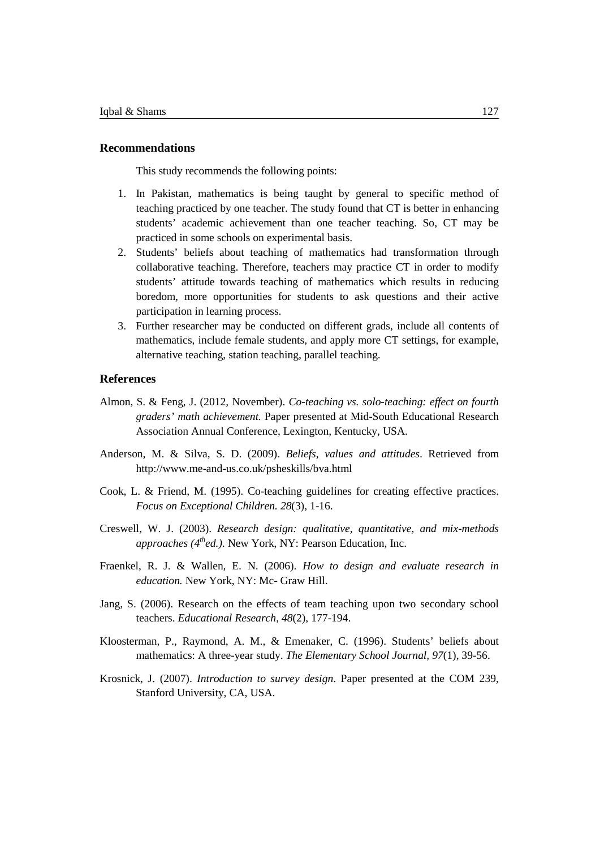# **Recommendations**

This study recommends the following points:

- 1. In Pakistan, mathematics is being taught by general to specific method of teaching practiced by one teacher. The study found that CT is better in enhancing students' academic achievement than one teacher teaching. So, CT may be practiced in some schools on experimental basis.
- 2. Students' beliefs about teaching of mathematics had transformation through collaborative teaching. Therefore, teachers may practice CT in order to modify students' attitude towards teaching of mathematics which results in reducing boredom, more opportunities for students to ask questions and their active participation in learning process.
- 3. Further researcher may be conducted on different grads, include all contents of mathematics, include female students, and apply more CT settings, for example, alternative teaching, station teaching, parallel teaching.

## **References**

- Almon, S. & Feng, J. (2012, November). *Co-teaching vs. solo-teaching: effect on fourth graders' math achievement.* Paper presented at Mid-South Educational Research Association Annual Conference, Lexington, Kentucky, USA.
- Anderson, M. & Silva, S. D. (2009). *Beliefs, values and attitudes*. Retrieved from <http://www.me-and-us.co.uk/psheskills/bva.html>
- Cook, L. & Friend, M. (1995). Co-teaching guidelines for creating effective practices. *Focus on Exceptional Children. 28*(3), 1-16.
- Creswell, W. J. (2003). *Research design: qualitative, quantitative, and mix-methods approaches (4thed.)*. New York, NY: Pearson Education, Inc.
- Fraenkel, R. J. & Wallen, E. N. (2006). *How to design and evaluate research in education.* New York, NY: Mc- Graw Hill.
- Jang, S. (2006). Research on the effects of team teaching upon two secondary school teachers. *Educational Research*, *48*(2), 177-194.
- Kloosterman, P., Raymond, A. M., & Emenaker, C. (1996). Students' beliefs about mathematics: A three-year study. *The Elementary School Journal, 97*(1), 39-56.
- Krosnick, J. (2007). *Introduction to survey design*. Paper presented at the COM 239, Stanford University, CA, USA.